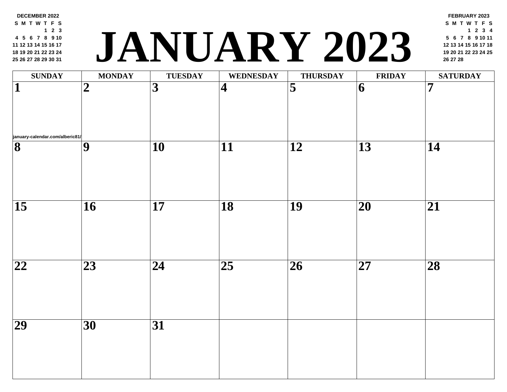**12 13 14 15 16 17 19 20 21 22 23 24 26 27 28 29 30 31 <sup>20</sup> <sup>21</sup> <sup>22</sup> <sup>23</sup> <sup>24</sup> <sup>25</sup> JANUARY 2023 <sup>26</sup> <sup>27</sup> <sup>28</sup>**  $\textbf{SUNDAY} \quad | \quad \textbf{MONDAY} \quad | \quad \textbf{TUESDAY} \quad | \quad \textbf{WEDNESDAY} \quad | \quad \textbf{THURSDAY} \quad | \quad \textbf{FRII}$ **january-calendar.com/alberic81/ 2 3 4 5 6 7 9 10 11 12 13 14 16 17 18 19 20 21 23 24 25 26 27 28 30 31**

**DECEMBER 2022 S M T [W](http://january-calendar.com/alberic81/) T F S**

**5 6 7 8 9 10**

**2 3**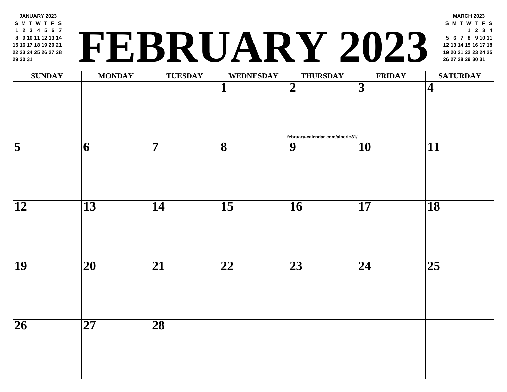## **<sup>19</sup> <sup>20</sup> <sup>21</sup> <sup>22</sup> <sup>23</sup> <sup>24</sup> <sup>25</sup> FEBRUARY 2023 <sup>26</sup> <sup>27</sup> <sup>28</sup> <sup>29</sup> <sup>30</sup> <sup>31</sup>**

| <b>SUNDAY</b>       | <b>MONDAY</b>            | <b>TUESDAY</b>           | <b>WEDNESDAY</b>        | <b>THURSDAY</b>                                    | <b>FRII</b>             |
|---------------------|--------------------------|--------------------------|-------------------------|----------------------------------------------------|-------------------------|
|                     |                          |                          | $\mathbf{1}$            | $\overline{2}$                                     | $\overline{\mathbf{3}}$ |
| $\overline{\bf{5}}$ | $\overline{\mathbf{6}}$  | $\overline{7}$           | $\overline{\mathbf{8}}$ | tebruary-calendar.com/alberic81/<br>$\overline{9}$ | $\overline{10}$         |
|                     |                          |                          |                         |                                                    |                         |
| $\overline{12}$     | $\overline{13}$          | $\overline{14}$          | $\overline{15}$         | $\overline{16}$                                    | $\overline{17}$         |
| $\overline{19}$     | $\overline{\mathbf{20}}$ | $\overline{21}$          | $\overline{22}$         | $\overline{23}$                                    | $\overline{24}$         |
| $\overline{26}$     | $\overline{27}$          | $\overline{\mathbf{28}}$ |                         |                                                    |                         |
|                     |                          |                          |                         |                                                    |                         |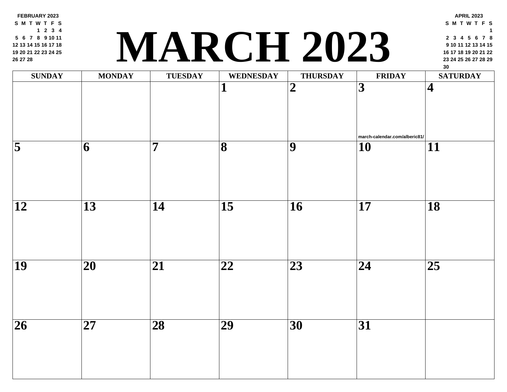**FEBRUARY 2023 S M T W T F S 2 3 4 6 7 8 9 10 11 13 14 15 16 17 18 20 21 22 23 24 25 27 28**

## **<sup>23</sup> <sup>24</sup> <sup>25</sup> <sup>26</sup> <sup>27</sup> <sup>28</sup> <sup>29</sup> MARCH 2023**

| <b>SUNDAY</b>      | <b>MONDAY</b>            | <b>TUESDAY</b>  | <b>WEDNESDAY</b>             | <b>THURSDAY</b>          | FRII                              |
|--------------------|--------------------------|-----------------|------------------------------|--------------------------|-----------------------------------|
|                    |                          |                 | $\mathbf{1}$                 | $\overline{2}$           | $\overline{3}$                    |
| $\overline{\bf 5}$ | 6                        | $\overline{7}$  | $\overline{\mathbf{8}}$      | $\overline{9}$           | march-calendar<br>$\overline{10}$ |
|                    |                          |                 |                              |                          |                                   |
| $\overline{12}$    | $\overline{13}$          | $\overline{14}$ | $\overline{15}$              | $\overline{\mathbf{16}}$ | $\overline{\mathbf{17}}$          |
| $\overline{19}$    | $\overline{\mathbf{20}}$ | $\overline{21}$ | $\overline{\boldsymbol{22}}$ | $\overline{23}$          | $\overline{24}$                   |
| $\overline{26}$    | $\overline{27}$          | $\overline{28}$ | $\overline{29}$              | $\overline{30}$          | $\overline{31}$                   |
|                    |                          |                 |                              |                          |                                   |
|                    |                          |                 |                              |                          |                                   |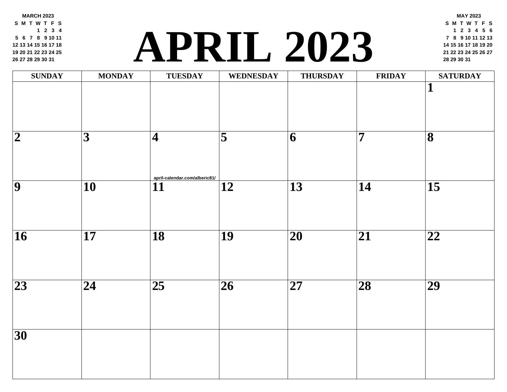**MARCH 2023 S M T W T F S 2 3 4 6 7 8 9 10 11 13 14 15 16 17 18 20 21 22 23 24 25 27 28 29 30 31**

### **<sup>21</sup> <sup>22</sup> <sup>23</sup> <sup>24</sup> <sup>25</sup> <sup>26</sup> <sup>27</sup> [APR](http://april-calendar.com/alberic81/)IL 2023 <sup>28</sup> <sup>29</sup> <sup>30</sup> <sup>31</sup>**

| <b>SUNDAY</b>           | <b>MONDAY</b>           | <b>TUESDAY</b>                      | <b>WEDNESDAY</b> | <b>THURSDAY</b>          | FRII            |
|-------------------------|-------------------------|-------------------------------------|------------------|--------------------------|-----------------|
|                         |                         |                                     |                  |                          |                 |
| $\overline{\mathbf{2}}$ | $\overline{\mathbf{3}}$ | $\overline{\mathbf{4}}$             | $\overline{5}$   | 6                        | $\overline{7}$  |
| $\overline{9}$          | $\overline{10}$         | april-calendar.com/alberic81/<br>11 | 12               | $\overline{13}$          | $\overline{14}$ |
| $\overline{16}$         | $\overline{17}$         | $\overline{18}$                     | $\overline{19}$  | $\overline{20}$          | $\overline{21}$ |
| $\overline{23}$         | $\overline{24}$         | $\overline{25}$                     | $\overline{26}$  | $\overline{\mathbf{27}}$ | $\overline{28}$ |
| $\overline{30}$         |                         |                                     |                  |                          |                 |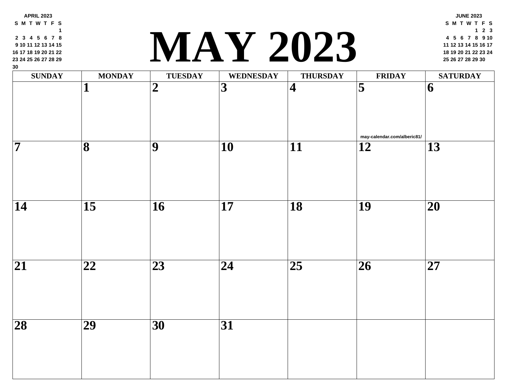| 2 3 4 5 6 7 8<br>9 10 11 12 13 14 15<br>16 17 18 19 20 21 22<br>23 24 25 26 27 28 29<br>$30\,$ |                         |                 | IA Y 2023               |                 |                          |
|------------------------------------------------------------------------------------------------|-------------------------|-----------------|-------------------------|-----------------|--------------------------|
| <b>SUNDAY</b>                                                                                  | <b>MONDAY</b>           | <b>TUESDAY</b>  | <b>WEDNESDAY</b>        | <b>THURSDAY</b> | <b>FRII</b>              |
|                                                                                                | 1                       | $\overline{2}$  | $\overline{\mathbf{3}}$ | $\vert 4 \vert$ | $\overline{\mathbf{5}}$  |
| $\overline{\bf 7}$                                                                             | $\overline{\mathbf{8}}$ | 9               | $\overline{10}$         | $\overline{11}$ | may-calendar.o<br>12     |
|                                                                                                |                         |                 |                         |                 |                          |
| $\overline{14}$                                                                                | $\overline{15}$         | $\overline{16}$ | $\overline{17}$         | $\overline{18}$ | <b>19</b>                |
| $\overline{21}$                                                                                | 22                      | $\overline{23}$ | 24                      | $\overline{25}$ | $\overline{\mathbf{26}}$ |
| $\overline{28}$                                                                                | $\overline{29}$         | $\overline{30}$ | $\overline{31}$         |                 |                          |
|                                                                                                |                         |                 |                         |                 |                          |

**3 4 5 6 7 8**

**APRIL 2023 S M T W T F S**

#### **<sup>18</sup> <sup>19</sup> <sup>20</sup> <sup>21</sup> <sup>22</sup> <sup>23</sup> <sup>24</sup> MAY 2023 <sup>25</sup> <sup>26</sup> <sup>27</sup> <sup>28</sup> <sup>29</sup> <sup>30</sup>**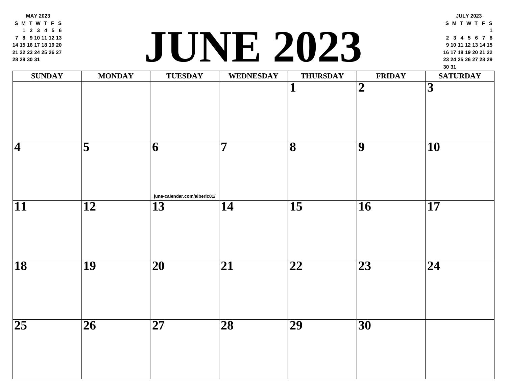**MAY 2023 S M T W T F S 2 3 4 5 6 8 9 10 11 12 13 15 16 17 18 19 20 22 23 24 25 26 27 29 30 31**

### **<sup>23</sup> <sup>24</sup> <sup>25</sup> <sup>26</sup> <sup>27</sup> <sup>28</sup> <sup>29</sup> JUNE 2023**

| <b>SUNDAY</b>            | <b>MONDAY</b>           | <b>TUESDAY</b>                    | <b>WEDNESDAY</b> | <b>THURSDAY</b>              | FRII                    |
|--------------------------|-------------------------|-----------------------------------|------------------|------------------------------|-------------------------|
|                          |                         |                                   |                  | 1                            | $\overline{\mathbf{2}}$ |
| $\overline{\mathcal{A}}$ | $\overline{\mathbf{5}}$ | 6<br>june-calendar.com/alberic81/ | $\overline{7}$   | $\overline{\mathbf{8}}$      | $\overline{9}$          |
| $\overline{11}$          | $\overline{12}$         | $\overline{13}$                   | $\overline{14}$  | $\overline{15}$              | $\overline{16}$         |
| $\overline{18}$          | $\overline{19}$         | $\overline{20}$                   | $\overline{21}$  | $\overline{\boldsymbol{22}}$ | $\overline{23}$         |
| $\overline{25}$          | $\overline{26}$         | $\overline{27}$                   | $\overline{28}$  | $\overline{29}$              | $\overline{30}$         |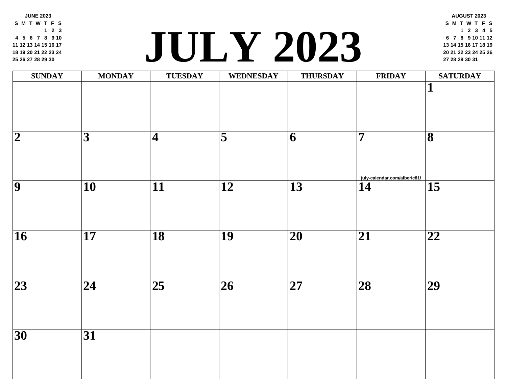**JUNE 2023 S M T W T F S 2 3 5 6 7 8 9 10 12 13 14 15 16 17 19 20 21 22 23 24 26 27 28 29 30**

#### **<sup>20</sup> <sup>21</sup> <sup>22</sup> <sup>23</sup> <sup>24</sup> <sup>25</sup> <sup>26</sup> JULY 202[3](http://july-calendar.com/alberic81/) <sup>27</sup> <sup>28</sup> <sup>29</sup> <sup>30</sup> <sup>31</sup>**

| <b>SUNDAY</b>           | <b>MONDAY</b>           | <b>TUESDAY</b>          | WEDNESDAY               | <b>THURSDAY</b> | FRII                 |
|-------------------------|-------------------------|-------------------------|-------------------------|-----------------|----------------------|
|                         |                         |                         |                         |                 |                      |
|                         |                         |                         |                         |                 |                      |
| $\overline{\mathbf{2}}$ | $\overline{\mathbf{3}}$ | $\overline{\mathbf{4}}$ | $\overline{\mathbf{5}}$ | 6               | $\overline{7}$       |
|                         |                         |                         |                         |                 |                      |
| $\overline{9}$          | $\overline{10}$         | $\overline{11}$         | $\overline{12}$         | $\overline{13}$ | $j$ uly-calendar.com |
|                         |                         |                         |                         |                 |                      |
|                         |                         |                         |                         |                 |                      |
| $\overline{16}$         | $\overline{17}$         | $\overline{18}$         | $\overline{19}$         | $\overline{20}$ | $\overline{21}$      |
|                         |                         |                         |                         |                 |                      |
| $\overline{23}$         | $\overline{24}$         | $\overline{25}$         | $\overline{26}$         | $\overline{27}$ | $\overline{28}$      |
|                         |                         |                         |                         |                 |                      |
| $\overline{30}$         | $\overline{31}$         |                         |                         |                 |                      |
|                         |                         |                         |                         |                 |                      |
|                         |                         |                         |                         |                 |                      |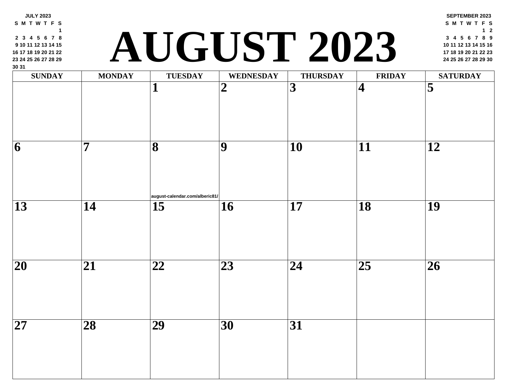| <b>SUNDAY</b>   | <b>MONDAY</b>   | <b>TUESDAY</b><br>1                  | <b>WEDNESDAY</b><br>$\boldsymbol{2}$ | <b>THURSDAY</b><br>3 | <b>FRII</b><br>$\overline{\mathbf{4}}$ |
|-----------------|-----------------|--------------------------------------|--------------------------------------|----------------------|----------------------------------------|
|                 |                 |                                      |                                      |                      |                                        |
| 6               | 7               | 8                                    | 9                                    | 10                   | 11                                     |
| 13              | 14              | august-calendar.com/alberic81/<br>15 | 16                                   | 17                   | 18                                     |
|                 |                 |                                      |                                      |                      |                                        |
| 20              | 21              | 22                                   | 23                                   | 24                   | 25                                     |
| $\overline{27}$ | $\overline{28}$ | $\overline{29}$                      | $\overline{30}$                      | 31                   |                                        |

**JULY 2023 S M T W T F S**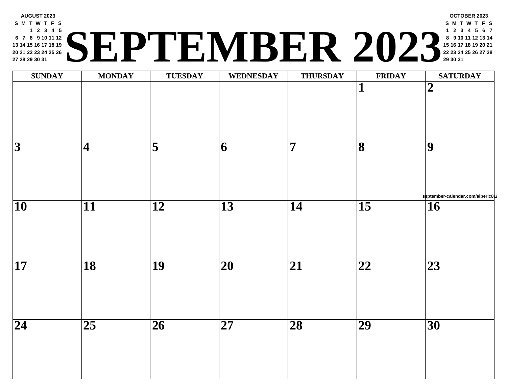#### **AUGUST 2023 S M T W T F S 2 3 4 5 7 8 9 10 11 12 14 15 16 17 18 19 21 22 23 24 25 26 28 29 30 31 <sup>22</sup> <sup>23</sup> <sup>24</sup> <sup>25</sup> <sup>26</sup> <sup>27</sup> <sup>28</sup> SEPTEMBER 2023 <sup>29</sup> <sup>30</sup> <sup>31</sup>**

| $\textbf{SUNDAY}$ | <b>MONDAY</b>            | <b>TUESDAY</b>          | <b>WEDNESDAY</b>         | <b>THURSDAY</b> | <b>FRII</b>                  |
|-------------------|--------------------------|-------------------------|--------------------------|-----------------|------------------------------|
|                   |                          |                         |                          |                 | $\mathbf{1}$                 |
| $\overline{3}$    | $\overline{\mathcal{A}}$ | $\overline{\mathbf{5}}$ | $\overline{6}$           | $\overline{7}$  | $\overline{\mathbf{8}}$      |
| $\overline{10}$   | $\overline{11}$          | $\overline{12}$         | $\overline{13}$          | $\overline{14}$ | $\overline{15}$              |
| $\overline{17}$   | $\overline{18}$          | $\overline{19}$         | $\overline{\mathbf{20}}$ | $\overline{21}$ | $\overline{\boldsymbol{22}}$ |
| $\overline{24}$   | $\overline{25}$          | $\overline{26}$         | $\overline{\mathbf{27}}$ | $\overline{28}$ | $\overline{29}$              |
|                   |                          |                         |                          |                 |                              |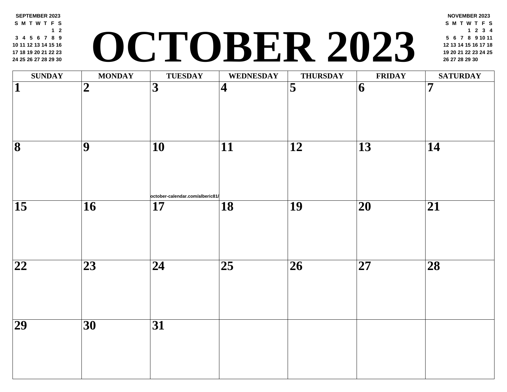#### **SEPTEMBER 2023 S M T W T F S 2 4 5 6 7 8 9 11 12 13 14 15 16 18 19 20 21 22 23 25 26 27 28 29 30 <sup>19</sup> <sup>20</sup> <sup>21</sup> <sup>22</sup> <sup>23</sup> <sup>24</sup> <sup>25</sup> OCTOBER 2023 <sup>26</sup> <sup>27</sup> <sup>28</sup> <sup>29</sup> <sup>30</sup>**

| <b>SUNDAY</b>                | <b>MONDAY</b>    | <b>TUESDAY</b>                                     | <b>WEDNESDAY</b> | <b>THURSDAY</b>         | <b>FRII</b>     |
|------------------------------|------------------|----------------------------------------------------|------------------|-------------------------|-----------------|
| $\overline{\mathbf{1}}$      | $\boldsymbol{2}$ | $\overline{3}$                                     | $\vert 4 \vert$  | $\overline{\mathbf{5}}$ | 6               |
| $\overline{\mathbf{8}}$      | $\overline{9}$   | $\overline{10}$                                    | $\overline{11}$  | $\overline{12}$         | $\overline{13}$ |
| $\overline{15}$              | $\overline{16}$  | october-calendar.com/alberic81/<br>$\overline{17}$ | $\overline{18}$  | $\overline{19}$         | $\overline{20}$ |
| $\overline{\boldsymbol{22}}$ | $\overline{23}$  | $\overline{24}$                                    | $\overline{25}$  | $\overline{26}$         | $\overline{27}$ |
| $\overline{29}$              | $\overline{30}$  | $\overline{31}$                                    |                  |                         |                 |
|                              |                  |                                                    |                  |                         |                 |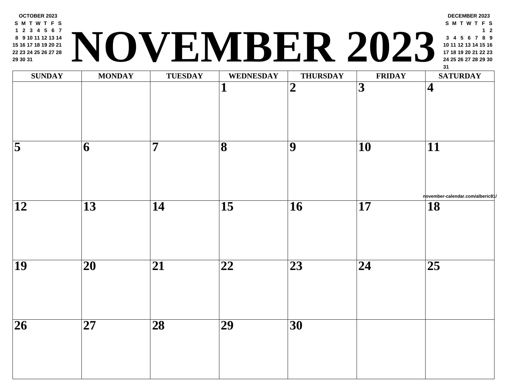

| <b>SUNDAY</b>                      | <b>MONDAY</b>            | <b>TUESDAY</b>  | <b>WEDNESDAY</b>             | <b>THURSDAY</b>         | FRII            |
|------------------------------------|--------------------------|-----------------|------------------------------|-------------------------|-----------------|
|                                    |                          |                 | $\mathbf{1}$                 | $\overline{\mathbf{2}}$ | $\overline{3}$  |
| $\overline{\overline{\mathbf{5}}}$ | 6                        | $\overline{7}$  | $\overline{\mathbf{8}}$      | $\overline{9}$          | $\overline{10}$ |
| $\overline{12}$                    | $\overline{13}$          | $\overline{14}$ | $\overline{15}$              | $\overline{16}$         | $\overline{17}$ |
| $\overline{19}$                    | $\overline{20}$          | $\overline{21}$ | $\overline{\boldsymbol{22}}$ | $\overline{23}$         | $\overline{24}$ |
| $\overline{26}$                    | $\overline{\mathbf{27}}$ | $\overline{28}$ | $\overline{29}$              | $\overline{30}$         |                 |